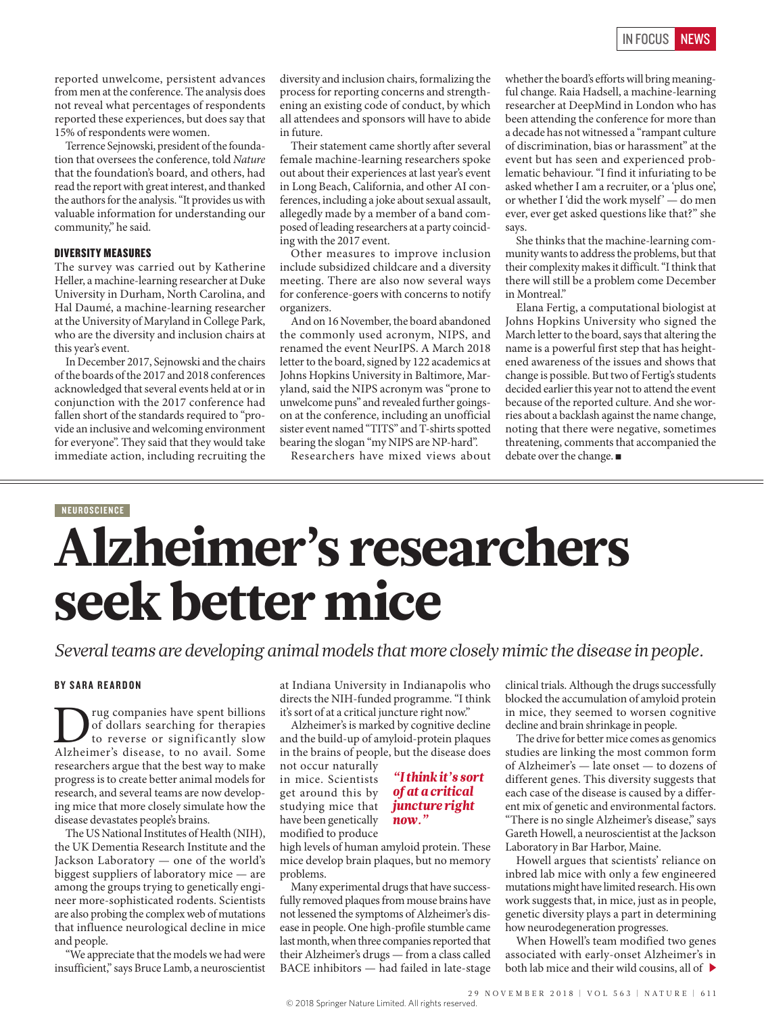reported unwelcome, persistent advances from men at the conference. The analysis does not reveal what percentages of respondents reported these experiences, but does say that 15% of respondents were women.

Terrence Sejnowski, president of the foundation that oversees the conference, told *Nature* that the foundation's board, and others, had read the report with great interest, and thanked the authors for the analysis. "It provides us with valuable information for understanding our community," he said.

#### DIVERSITY MEASURES

The survey was carried out by Katherine Heller, a machine-learning researcher at Duke University in Durham, North Carolina, and Hal Daumé, a machine-learning researcher at the University of Maryland in College Park, who are the diversity and inclusion chairs at this year's event.

In December 2017, Sejnowski and the chairs of the boards of the 2017 and 2018 conferences acknowledged that several events held at or in conjunction with the 2017 conference had fallen short of the standards required to "provide an inclusive and welcoming environment for everyone". They said that they would take immediate action, including recruiting the diversity and inclusion chairs, formalizing the process for reporting concerns and strengthening an existing code of conduct, by which all attendees and sponsors will have to abide in future.

Their statement came shortly after several female machine-learning researchers spoke out about their experiences at last year's event in Long Beach, California, and other AI conferences, including a joke about sexual assault, allegedly made by a member of a band composed of leading researchers at a party coinciding with the 2017 event.

Other measures to improve inclusion include subsidized childcare and a diversity meeting. There are also now several ways for conference-goers with concerns to notify organizers.

And on 16 November, the board abandoned the commonly used acronym, NIPS, and renamed the event NeurIPS. A March 2018 letter to the board, signed by 122 academics at Johns Hopkins University in Baltimore, Maryland, said the NIPS acronym was "prone to unwelcome puns" and revealed further goingson at the conference, including an unofficial sister event named "TITS" and T-shirts spotted bearing the slogan "my NIPS are NP-hard".

Researchers have mixed views about

whether the board's efforts will bring meaningful change. Raia Hadsell, a machine-learning researcher at DeepMind in London who has been attending the conference for more than a decade has not witnessed a "rampant culture of discrimination, bias or harassment" at the event but has seen and experienced problematic behaviour. "I find it infuriating to be asked whether I am a recruiter, or a 'plus one', or whether I 'did the work myself' — do men ever, ever get asked questions like that?" she says.

She thinks that the machine-learning community wants to address the problems, but that their complexity makes it difficult. "I think that there will still be a problem come December in Montreal."

Elana Fertig, a computational biologist at Johns Hopkins University who signed the March letter to the board, says that altering the name is a powerful first step that has heightened awareness of the issues and shows that change is possible. But two of Fertig's students decided earlier this year not to attend the event because of the reported culture. And she worries about a backlash against the name change, noting that there were negative, sometimes threatening, comments that accompanied the debate over the change. ■

# NEUROSCIENCE Alzheimer's researchers seek better mice

*Several teams are developing animal models that more closely mimic the disease in people.*

# BY SARA REARDON

Drug companies have spent billions Alzheimer's disease, to no avail. Some of dollars searching for therapies to reverse or significantly slow researchers argue that the best way to make progress is to create better animal models for research, and several teams are now developing mice that more closely simulate how the disease devastates people's brains.

The US National Institutes of Health (NIH), the UK Dementia Research Institute and the Jackson Laboratory — one of the world's biggest suppliers of laboratory mice — are among the groups trying to genetically engineer more-sophisticated rodents. Scientists are also probing the complex web of mutations that influence neurological decline in mice and people.

"We appreciate that the models we had were insufficient," says Bruce Lamb, a neuroscientist

at Indiana University in Indianapolis who directs the NIH-funded programme. "I think it's sort of at a critical juncture right now."

Alzheimer's is marked by cognitive decline and the build-up of amyloid-protein plaques in the brains of people, but the disease does

> *"I think it's sort of at a critical*

not occur naturally in mice. Scientists get around this by studying mice that have been genetically modified to produce *juncture right* 

#### high levels of human amyloid protein. These mice develop brain plaques, but no memory problems.

*now."*

Many experimental drugs that have successfully removed plaques from mouse brains have not lessened the symptoms of Alzheimer's disease in people. One high-profile stumble came last month, when three companies reported that their Alzheimer's drugs — from a class called BACE inhibitors — had failed in late-stage

clinical trials. Although the drugs successfully blocked the accumulation of amyloid protein in mice, they seemed to worsen cognitive decline and brain shrinkage in people.

The drive for better mice comes as genomics studies are linking the most common form of Alzheimer's — late onset — to dozens of different genes. This diversity suggests that each case of the disease is caused by a different mix of genetic and environmental factors. "There is no single Alzheimer's disease," says Gareth Howell, a neuroscientist at the Jackson Laboratory in Bar Harbor, Maine.

Howell argues that scientists' reliance on inbred lab mice with only a few engineered mutations might have limited research. His own work suggests that, in mice, just as in people, genetic diversity plays a part in determining how neurodegeneration progresses.

When Howell's team modified two genes associated with early-onset Alzheimer's in both lab mice and their wild cousins, all of  $\blacktriangleright$